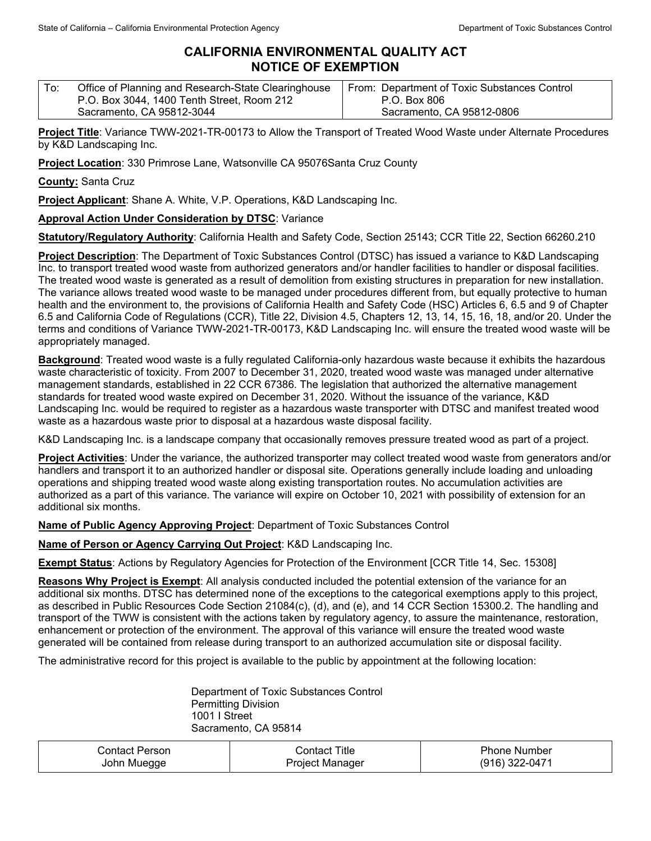## **CALIFORNIA ENVIRONMENTAL QUALITY ACT NOTICE OF EXEMPTION**

| Office of Planning and Research-State Clearinghouse | From: Department of Toxic Substances Control |
|-----------------------------------------------------|----------------------------------------------|
| P.O. Box 3044, 1400 Tenth Street, Room 212          | P.O. Box 806                                 |
| Sacramento, CA 95812-3044                           | Sacramento, CA 95812-0806                    |

**Project Title**: Variance TWW-2021-TR-00173 to Allow the Transport of Treated Wood Waste under Alternate Procedures by K&D Landscaping Inc.

**Project Location**: 330 Primrose Lane, Watsonville CA 95076Santa Cruz County

**County:** Santa Cruz

**Project Applicant**: Shane A. White, V.P. Operations, K&D Landscaping Inc.

## **Approval Action Under Consideration by DTSC**: Variance

**Statutory/Regulatory Authority**: California Health and Safety Code, Section 25143; CCR Title 22, Section 66260.210

**Project Description**: The Department of Toxic Substances Control (DTSC) has issued a variance to K&D Landscaping Inc. to transport treated wood waste from authorized generators and/or handler facilities to handler or disposal facilities. The treated wood waste is generated as a result of demolition from existing structures in preparation for new installation. The variance allows treated wood waste to be managed under procedures different from, but equally protective to human health and the environment to, the provisions of California Health and Safety Code (HSC) Articles 6, 6.5 and 9 of Chapter 6.5 and California Code of Regulations (CCR), Title 22, Division 4.5, Chapters 12, 13, 14, 15, 16, 18, and/or 20. Under the terms and conditions of Variance TWW-2021-TR-00173, K&D Landscaping Inc. will ensure the treated wood waste will be appropriately managed.

**Background**: Treated wood waste is a fully regulated California-only hazardous waste because it exhibits the hazardous waste characteristic of toxicity. From 2007 to December 31, 2020, treated wood waste was managed under alternative management standards, established in 22 CCR 67386. The legislation that authorized the alternative management standards for treated wood waste expired on December 31, 2020. Without the issuance of the variance, K&D Landscaping Inc. would be required to register as a hazardous waste transporter with DTSC and manifest treated wood waste as a hazardous waste prior to disposal at a hazardous waste disposal facility.

K&D Landscaping Inc. is a landscape company that occasionally removes pressure treated wood as part of a project.

**Project Activities**: Under the variance, the authorized transporter may collect treated wood waste from generators and/or handlers and transport it to an authorized handler or disposal site. Operations generally include loading and unloading operations and shipping treated wood waste along existing transportation routes. No accumulation activities are authorized as a part of this variance. The variance will expire on October 10, 2021 with possibility of extension for an additional six months.

**Name of Public Agency Approving Project**: Department of Toxic Substances Control

**Name of Person or Agency Carrying Out Project**: K&D Landscaping Inc.

**Exempt Status**: Actions by Regulatory Agencies for Protection of the Environment [CCR Title 14, Sec. 15308]

**Reasons Why Project is Exempt**: All analysis conducted included the potential extension of the variance for an additional six months. DTSC has determined none of the exceptions to the categorical exemptions apply to this project, as described in Public Resources Code Section 21084(c), (d), and (e), and 14 CCR Section 15300.2. The handling and transport of the TWW is consistent with the actions taken by regulatory agency, to assure the maintenance, restoration, enhancement or protection of the environment. The approval of this variance will ensure the treated wood waste generated will be contained from release during transport to an authorized accumulation site or disposal facility.

The administrative record for this project is available to the public by appointment at the following location:

Department of Toxic Substances Control Permitting Division 1001 I Street Sacramento, CA 95814

| ∴ontact ⊑<br>Person | Title<br>∴ontact | , Phone<br>. Number |
|---------------------|------------------|---------------------|
| John Muegge         | Project Manager  | 322-0471<br>'91R)   |